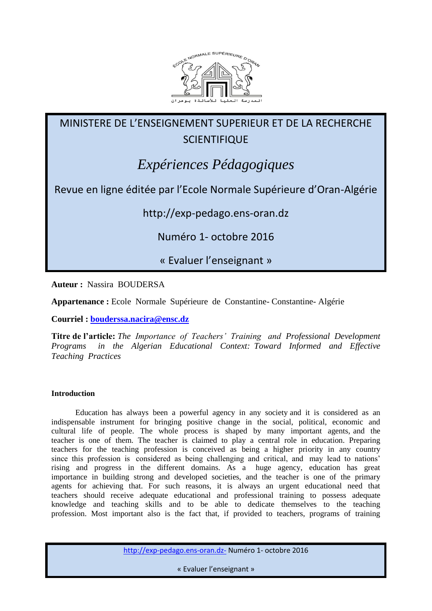

MINISTERE DE L'ENSEIGNEMENT SUPERIEUR ET DE LA RECHERCHE **SCIENTIFIQUE** 

# *Expériences Pédagogiques*

Revue en ligne éditée par l'Ecole Normale Supérieure d'Oran-Algérie

http://exp-pedago.ens-oran.dz

Numéro 1- octobre 2016

« Evaluer l'enseignant »

**Auteur :** Nassira BOUDERSA

**Appartenance :** Ecole Normale Supérieure de Constantine- Constantine- Algérie

**Courriel : [bouderssa.nacira@ensc.dz](mailto:bouderssa.nacira@ensc.dz)**

**Titre de l'article:** *The Importance of Teachers' Training and Professional Development Programs in the Algerian Educational Context: Toward Informed and Effective Teaching Practices*

# **Introduction**

 Education has always been a powerful agency in any society and it is considered as an indispensable instrument for bringing positive change in the social, political, economic and cultural life of people. The whole process is shaped by many important agents, and the teacher is one of them. The teacher is claimed to play a central role in education. Preparing teachers for the teaching profession is conceived as being a higher priority in any country since this profession is considered as being challenging and critical, and may lead to nations' rising and progress in the different domains. As a huge agency, education has great importance in building strong and developed societies, and the teacher is one of the primary agents for achieving that. For such reasons, it is always an urgent educational need that teachers should receive adequate educational and professional training to possess adequate knowledge and teaching skills and to be able to dedicate themselves to the teaching profession. Most important also is the fact that, if provided to teachers, programs of training

http://exp-pedago.ens-oran.dz- Numéro 1- octobre 2016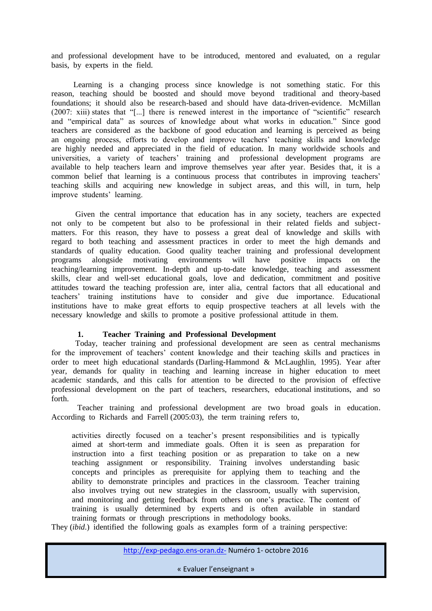and professional development have to be introduced, mentored and evaluated, on a regular basis, by experts in the field.

 Learning is a changing process since knowledge is not something static. For this reason, teaching should be boosted and should move beyond traditional and theory-based foundations; it should also be research-based and should have data-driven-evidence. McMillan (2007: xiii) states that "[...] there is renewed interest in the importance of "scientific" research and "empirical data" as sources of knowledge about what works in education." Since good teachers are considered as the backbone of good education and learning is perceived as being an ongoing process, efforts to develop and improve teachers' teaching skills and knowledge are highly needed and appreciated in the field of education. In many worldwide schools and universities, a variety of teachers' training and professional development programs are available to help teachers learn and improve themselves year after year. Besides that, it is a common belief that learning is a continuous process that contributes in improving teachers' teaching skills and acquiring new knowledge in subject areas, and this will, in turn, help improve students' learning.

 Given the central importance that education has in any society, teachers are expected not only to be competent but also to be professional in their related fields and subjectmatters. For this reason, they have to possess a great deal of knowledge and skills with regard to both teaching and assessment practices in order to meet the high demands and standards of quality education. Good quality teacher training and professional development programs alongside motivating environments will have positive impacts on the teaching/learning improvement. In-depth and up-to-date knowledge, teaching and assessment skills, clear and well-set educational goals, love and dedication, commitment and positive attitudes toward the teaching profession are, inter alia, central factors that all educational and teachers' training institutions have to consider and give due importance. Educational institutions have to make great efforts to equip prospective teachers at all levels with the necessary knowledge and skills to promote a positive professional attitude in them.

# **1. Teacher Training and Professional Development**

 Today, teacher training and professional development are seen as central mechanisms for the improvement of teachers' content knowledge and their teaching skills and practices in order to meet high educational standards (Darling-Hammond & McLaughlin, 1995). Year after year, demands for quality in teaching and learning increase in higher education to meet academic standards, and this calls for attention to be directed to the provision of effective professional development on the part of teachers, researchers, educational institutions, and so forth.

 Teacher training and professional development are two broad goals in education. According to Richards and Farrell (2005:03), the term training refers to,

activities directly focused on a teacher's present responsibilities and is typically aimed at short-term and immediate goals. Often it is seen as preparation for instruction into a first teaching position or as preparation to take on a new teaching assignment or responsibility. Training involves understanding basic concepts and principles as prerequisite for applying them to teaching and the ability to demonstrate principles and practices in the classroom. Teacher training also involves trying out new strategies in the classroom, usually with supervision, and monitoring and getting feedback from others on one's practice. The content of training is usually determined by experts and is often available in standard training formats or through prescriptions in methodology books.

They (*ibid*.) identified the following goals as examples form of a training perspective: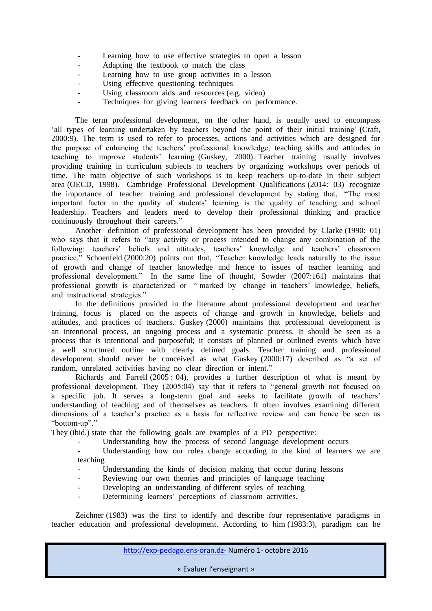- Learning how to use effective strategies to open a lesson
- Adapting the textbook to match the class
- Learning how to use group activities in a lesson
- Using effective questioning techniques
- Using classroom aids and resources (e.g. video)
- Techniques for giving learners feedback on performance.

 The term professional development, on the other hand, is usually used to encompass 'all types of learning undertaken by teachers beyond the point of their initial training' **(**Craft, 2000:9). The term is used to refer to processes, actions and activities which are designed for the purpose of enhancing the teachers' professional knowledge, teaching skills and attitudes in teaching to improve students' learning (Guskey, 2000). Teacher training usually involves providing training in curriculum subjects to teachers by organizing workshops over periods of time. The main objective of such workshops is to keep teachers up-to-date in their subject area (OECD, 1998). Cambridge Professional Development Qualifications (2014: 03) recognize the importance of teacher training and professional development by stating that, "The most important factor in the quality of students' learning is the quality of teaching and school leadership. Teachers and leaders need to develop their professional thinking and practice continuously throughout their careers."

 Another definition of professional development has been provided by Clarke (1990: 01) who says that it refers to "any activity or process intended to change any combination of the following: teachers' beliefs and attitudes, teachers' knowledge and teachers' classroom practice." Schoenfeld (2000:20) points out that, "Teacher knowledge leads naturally to the issue of growth and change of teacher knowledge and hence to issues of teacher learning and professional development." In the same line of thought, Sowder (2007:161) maintains that professional growth is characterized or " marked by change in teachers' knowledge, beliefs, and instructional strategies."

 In the definitions provided in the literature about professional development and teacher training, focus is placed on the aspects of change and growth in knowledge, beliefs and attitudes, and practices of teachers. Guskey (2000) maintains that professional development is an intentional process, an ongoing process and a systematic process. It should be seen as a process that is intentional and purposeful; it consists of planned or outlined events which have a well structured outline with clearly defined goals. Teacher training and professional development should never be conceived as what Guskey (2000:17) described as "a set of random, unrelated activities having no clear direction or intent."

Richards and Farrell  $(2005 : 04)$ , provides a further description of what is meant by professional development. They (2005:04) say that it refers to "general growth not focused on a specific job. It serves a long-term goal and seeks to facilitate growth of teachers' understanding of teaching and of themselves as teachers. It often involves examining different dimensions of a teacher's practice as a basis for reflective review and can hence be seen as "bottom-up"."

They (ibid.) state that the following goals are examples of a PD perspective:

Understanding how the process of second language development occurs

Understanding how our roles change according to the kind of learners we are teaching

- Understanding the kinds of decision making that occur during lessons
- Reviewing our own theories and principles of language teaching
- Developing an understanding of different styles of teaching
- Determining learners' perceptions of classroom activities.

Zeichner (1983**)** was the first to identify and describe four representative paradigms in teacher education and professional development. According to him (1983:3), paradigm can be

http://exp-pedago.ens-oran.dz- Numéro 1- octobre 2016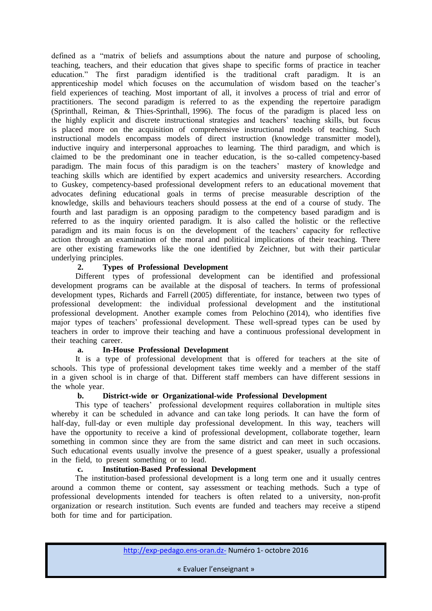defined as a "matrix of beliefs and assumptions about the nature and purpose of schooling, teaching, teachers, and their education that gives shape to specific forms of practice in teacher education." The first paradigm identified is the traditional craft paradigm. It is an apprenticeship model which focuses on the accumulation of wisdom based on the teacher's field experiences of teaching. Most important of all, it involves a process of trial and error of practitioners. The second paradigm is referred to as the expending the repertoire paradigm (Sprinthall, Reiman, & Thies-Sprinthall, 1996). The focus of the paradigm is placed less on the highly explicit and discrete instructional strategies and teachers' teaching skills, but focus is placed more on the acquisition of comprehensive instructional models of teaching. Such instructional models encompass models of direct instruction (knowledge transmitter model), inductive inquiry and interpersonal approaches to learning. The third paradigm, and which is claimed to be the predominant one in teacher education, is the so-called competency-based paradigm. The main focus of this paradigm is on the teachers' mastery of knowledge and teaching skills which are identified by expert academics and university researchers. According to Guskey, competency-based professional development refers to an educational movement that advocates defining educational goals in terms of precise measurable description of the knowledge, skills and behaviours teachers should possess at the end of a course of study. The fourth and last paradigm is an opposing paradigm to the competency based paradigm and is referred to as the inquiry oriented paradigm. It is also called the holistic or the reflective paradigm and its main focus is on the development of the teachers' capacity for reflective action through an examination of the moral and political implications of their teaching. There are other existing frameworks like the one identified by Zeichner, but with their particular underlying principles.

# **2. Types of Professional Development**

 Different types of professional development can be identified and professional development programs can be available at the disposal of teachers. In terms of professional development types, Richards and Farrell (2005) differentiate, for instance, between two types of professional development: the individual professional development and the institutional professional development. Another example comes from Pelochino (2014), who identifies five major types of teachers' professional development. These well-spread types can be used by teachers in order to improve their teaching and have a continuous professional development in their teaching career.

## **a. In-House Professional Development**

 It is a type of professional development that is offered for teachers at the site of schools. This type of professional development takes time weekly and a member of the staff in a given school is in charge of that. Different staff members can have different sessions in the whole year.

## **b. District-wide or Organizational-wide Professional Development**

 This type of teachers' professional development requires collaboration in multiple sites whereby it can be scheduled in advance and can take long periods. It can have the form of half-day, full-day or even multiple day professional development. In this way, teachers will have the opportunity to receive a kind of professional development, collaborate together, learn something in common since they are from the same district and can meet in such occasions. Such educational events usually involve the presence of a guest speaker, usually a professional in the field, to present something or to lead.

## **c. Institution-Based Professional Development**

 The institution-based professional development is a long term one and it usually centres around a common theme or content, say assessment or teaching methods. Such a type of professional developments intended for teachers is often related to a university, non-profit organization or research institution. Such events are funded and teachers may receive a stipend both for time and for participation.

http://exp-pedago.ens-oran.dz- Numéro 1- octobre 2016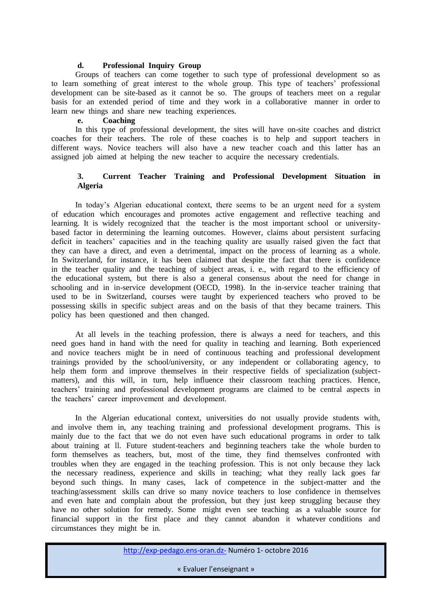## **d. Professional Inquiry Group**

 Groups of teachers can come together to such type of professional development so as to learn something of great interest to the whole group. This type of teachers' professional development can be site-based as it cannot be so. The groups of teachers meet on a regular basis for an extended period of time and they work in a collaborative manner in order to learn new things and share new teaching experiences.

#### **e. Coaching**

 In this type of professional development, the sites will have on-site coaches and district coaches for their teachers. The role of these coaches is to help and support teachers in different ways. Novice teachers will also have a new teacher coach and this latter has an assigned job aimed at helping the new teacher to acquire the necessary credentials.

# **3. Current Teacher Training and Professional Development Situation in Algeria**

 In today's Algerian educational context, there seems to be an urgent need for a system of education which encourages and promotes active engagement and reflective teaching and learning. It is widely recognized that the teacher is the most important school or universitybased factor in determining the learning outcomes. However, claims about persistent surfacing deficit in teachers' capacities and in the teaching quality are usually raised given the fact that they can have a direct, and even a detrimental, impact on the process of learning as a whole. In Switzerland, for instance, it has been claimed that despite the fact that there is confidence in the teacher quality and the teaching of subject areas, i. e., with regard to the efficiency of the educational system, but there is also a general consensus about the need for change in schooling and in in-service development (OECD, 1998). In the in-service teacher training that used to be in Switzerland, courses were taught by experienced teachers who proved to be possessing skills in specific subject areas and on the basis of that they became trainers. This policy has been questioned and then changed.

 At all levels in the teaching profession, there is always a need for teachers, and this need goes hand in hand with the need for quality in teaching and learning. Both experienced and novice teachers might be in need of continuous teaching and professional development trainings provided by the school/university, or any independent or collaborating agency, to help them form and improve themselves in their respective fields of specialization (subjectmatters), and this will, in turn, help influence their classroom teaching practices. Hence, teachers' training and professional development programs are claimed to be central aspects in the teachers' career improvement and development.

 In the Algerian educational context, universities do not usually provide students with, and involve them in, any teaching training and professional development programs. This is mainly due to the fact that we do not even have such educational programs in order to talk about training at ll. Future student-teachers and beginning teachers take the whole burden to form themselves as teachers, but, most of the time, they find themselves confronted with troubles when they are engaged in the teaching profession. This is not only because they lack the necessary readiness, experience and skills in teaching; what they really lack goes far beyond such things. In many cases, lack of competence in the subject-matter and the teaching/assessment skills can drive so many novice teachers to lose confidence in themselves and even hate and complain about the profession, but they just keep struggling because they have no other solution for remedy. Some might even see teaching as a valuable source for financial support in the first place and they cannot abandon it whatever conditions and circumstances they might be in.

http://exp-pedago.ens-oran.dz- Numéro 1- octobre 2016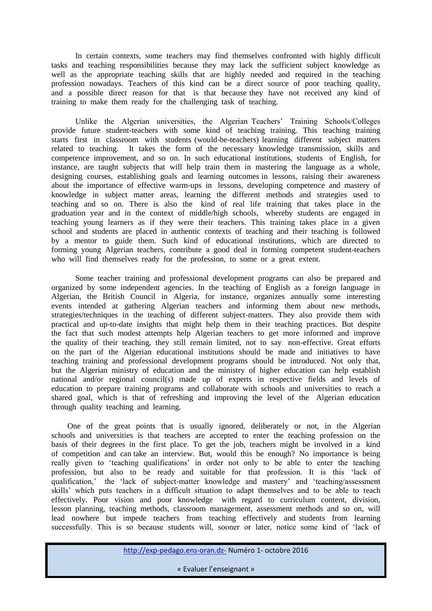In certain contexts, some teachers may find themselves confronted with highly difficult tasks and teaching responsibilities because they may lack the sufficient subject knowledge as well as the appropriate teaching skills that are highly needed and required in the teaching profession nowadays. Teachers of this kind can be a direct source of poor teaching quality, and a possible direct reason for that is that because they have not received any kind of training to make them ready for the challenging task of teaching.

 Unlike the Algerian universities, the Algerian Teachers' Training Schools/Colleges provide future student-teachers with some kind of teaching training. This teaching training starts first in classroom with students (would-be-teachers) learning different subject matters related to teaching. It takes the form of the necessary knowledge transmission, skills and competence improvement, and so on. In such educational institutions, students of English, for instance, are taught subjects that will help train them in mastering the language as a whole, designing courses, establishing goals and learning outcomes in lessons, raising their awareness about the importance of effective warm-ups in lessons, developing competence and mastery of knowledge in subject matter areas, learning the different methods and strategies used to teaching and so on. There is also the kind of real life training that takes place in the graduation year and in the context of middle/high schools, whereby students are engaged in teaching young learners as if they were their teachers. This training takes place in a given school and students are placed in authentic contexts of teaching and their teaching is followed by a mentor to guide them. Such kind of educational institutions, which are directed to forming young Algerian teachers, contribute a good deal in forming competent student-teachers who will find themselves ready for the profession, to some or a great extent.

 Some teacher training and professional development programs can also be prepared and organized by some independent agencies. In the teaching of English as a foreign language in Algerian, the British Council in Algeria, for instance, organizes annually some interesting events intended at gathering Algerian teachers and informing them about new methods, strategies/techniques in the teaching of different subject-matters. They also provide them with practical and up-to-date insights that might help them in their teaching practices. But despite the fact that such modest attempts help Algerian teachers to get more informed and improve the quality of their teaching, they still remain limited, not to say non-effective. Great efforts on the part of the Algerian educational institutions should be made and initiatives to have teaching training and professional development programs should be introduced. Not only that, but the Algerian ministry of education and the ministry of higher education can help establish national and/or regional council(s) made up of experts in respective fields and levels of education to prepare training programs and collaborate with schools and universities to reach a shared goal, which is that of refreshing and improving the level of the Algerian education through quality teaching and learning.

 One of the great points that is usually ignored, deliberately or not, in the Algerian schools and universities is that teachers are accepted to enter the teaching profession on the basis of their degrees in the first place. To get the job, teachers might be involved in a kind of competition and can take an interview. But, would this be enough? No importance is being really given to 'teaching qualifications' in order not only to be able to enter the teaching profession, but also to be ready and suitable for that profession. It is this 'lack of qualification,' the 'lack of subject-matter knowledge and mastery' and 'teaching/assessment skills' which puts teachers in a difficult situation to adapt themselves and to be able to teach effectively. Poor vision and poor knowledge with regard to curriculum content, division, lesson planning, teaching methods, classroom management, assessment methods and so on, will lead nowhere but impede teachers from teaching effectively and students from learning successfully. This is so because students will, sooner or later, notice some kind of 'lack of

http://exp-pedago.ens-oran.dz- Numéro 1- octobre 2016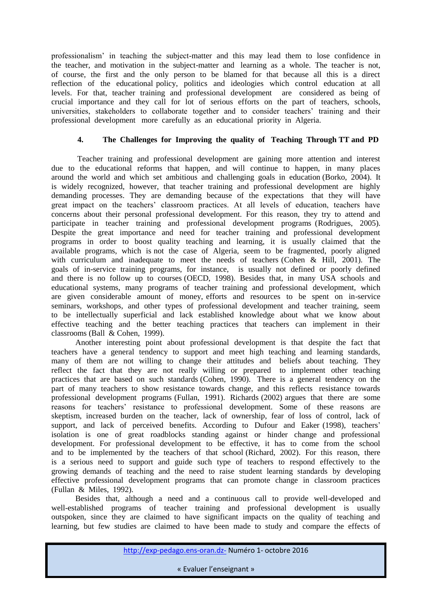professionalism' in teaching the subject-matter and this may lead them to lose confidence in the teacher, and motivation in the subject-matter and learning as a whole. The teacher is not, of course, the first and the only person to be blamed for that because all this is a direct reflection of the educational policy, politics and ideologies which control education at all levels. For that, teacher training and professional development are considered as being of crucial importance and they call for lot of serious efforts on the part of teachers, schools, universities, stakeholders to collaborate together and to consider teachers' training and their professional development more carefully as an educational priority in Algeria.

# **4. The Challenges for Improving the quality of Teaching Through TT and PD**

 Teacher training and professional development are gaining more attention and interest due to the educational reforms that happen, and will continue to happen, in many places around the world and which set ambitious and challenging goals in education (Borko, 2004). It is widely recognized, however, that teacher training and professional development are highly demanding processes. They are demanding because of the expectations that they will have great impact on the teachers' classroom practices. At all levels of education, teachers have concerns about their personal professional development. For this reason, they try to attend and participate in teacher training and professional development programs (Rodrigues, 2005). Despite the great importance and need for teacher training and professional development programs in order to boost quality teaching and learning, it is usually claimed that the available programs, which is not the case of Algeria, seem to be fragmented, poorly aligned with curriculum and inadequate to meet the needs of teachers (Cohen & Hill, 2001). The goals of in-service training programs, for instance, is usually not defined or poorly defined and there is no follow up to courses (OECD, 1998). Besides that, in many USA schools and educational systems, many programs of teacher training and professional development, which are given considerable amount of money, efforts and resources to be spent on in-service seminars, workshops, and other types of professional development and teacher training, seem to be intellectually superficial and lack established knowledge about what we know about effective teaching and the better teaching practices that teachers can implement in their classrooms (Ball & Cohen, 1999).

 Another interesting point about professional development is that despite the fact that teachers have a general tendency to support and meet high teaching and learning standards, many of them are not willing to change their attitudes and beliefs about teaching. They reflect the fact that they are not really willing or prepared to implement other teaching practices that are based on such standards (Cohen, 1990). There is a general tendency on the part of many teachers to show resistance towards change, and this reflects resistance towards professional development programs (Fullan, 1991). Richards (2002) argues that there are some reasons for teachers' resistance to professional development. Some of these reasons are skeptism, increased burden on the teacher, lack of ownership, fear of loss of control, lack of support, and lack of perceived benefits. According to Dufour and Eaker (1998), teachers' isolation is one of great roadblocks standing against or hinder change and professional development. For professional development to be effective, it has to come from the school and to be implemented by the teachers of that school (Richard, 2002). For this reason, there is a serious need to support and guide such type of teachers to respond effectively to the growing demands of teaching and the need to raise student learning standards by developing effective professional development programs that can promote change in classroom practices (Fullan & Miles, 1992).

 Besides that, although a need and a continuous call to provide well-developed and well-established programs of teacher training and professional development is usually outspoken, since they are claimed to have significant impacts on the quality of teaching and learning, but few studies are claimed to have been made to study and compare the effects of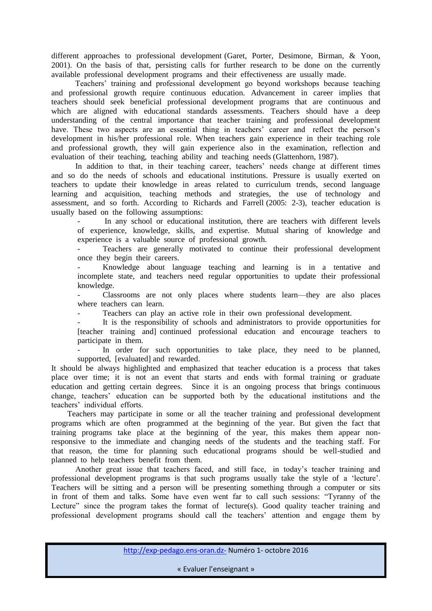different approaches to professional development (Garet, Porter, Desimone, Birman, & Yoon, 2001). On the basis of that, persisting calls for further research to be done on the currently available professional development programs and their effectiveness are usually made.

 Teachers' training and professional development go beyond workshops because teaching and professional growth require continuous education. Advancement in career implies that teachers should seek beneficial professional development programs that are continuous and which are aligned with educational standards assessments. Teachers should have a deep understanding of the central importance that teacher training and professional development have. These two aspects are an essential thing in teachers' career and reflect the person's development in his/her professional role. When teachers gain experience in their teaching role and professional growth, they will gain experience also in the examination, reflection and evaluation of their teaching, teaching ability and teaching needs (Glattenhorn, 1987).

 In addition to that, in their teaching career, teachers' needs change at different times and so do the needs of schools and educational institutions. Pressure is usually exerted on teachers to update their knowledge in areas related to curriculum trends, second language learning and acquisition, teaching methods and strategies, the use of technology and assessment, and so forth. According to Richards and Farrell (2005: 2-3), teacher education is usually based on the following assumptions:

In any school or educational institution, there are teachers with different levels of experience, knowledge, skills, and expertise. Mutual sharing of knowledge and experience is a valuable source of professional growth.

Teachers are generally motivated to continue their professional development once they begin their careers.

- Knowledge about language teaching and learning is in a tentative and incomplete state, and teachers need regular opportunities to update their professional knowledge.

Classrooms are not only places where students learn—they are also places where teachers can learn.

Teachers can play an active role in their own professional development.

It is the responsibility of schools and administrators to provide opportunities for [teacher training and] continued professional education and encourage teachers to participate in them.

In order for such opportunities to take place, they need to be planned, supported, [evaluated] and rewarded.

It should be always highlighted and emphasized that teacher education is a process that takes place over time; it is not an event that starts and ends with formal training or graduate education and getting certain degrees. Since it is an ongoing process that brings continuous change, teachers' education can be supported both by the educational institutions and the teachers' individual efforts.

 Teachers may participate in some or all the teacher training and professional development programs which are often programmed at the beginning of the year. But given the fact that training programs take place at the beginning of the year, this makes them appear nonresponsive to the immediate and changing needs of the students and the teaching staff. For that reason, the time for planning such educational programs should be well-studied and planned to help teachers benefit from them.

 Another great issue that teachers faced, and still face, in today's teacher training and professional development programs is that such programs usually take the style of a 'lecture'. Teachers will be sitting and a person will be presenting something through a computer or sits in front of them and talks. Some have even went far to call such sessions: "Tyranny of the Lecture" since the program takes the format of lecture(s). Good quality teacher training and professional development programs should call the teachers' attention and engage them by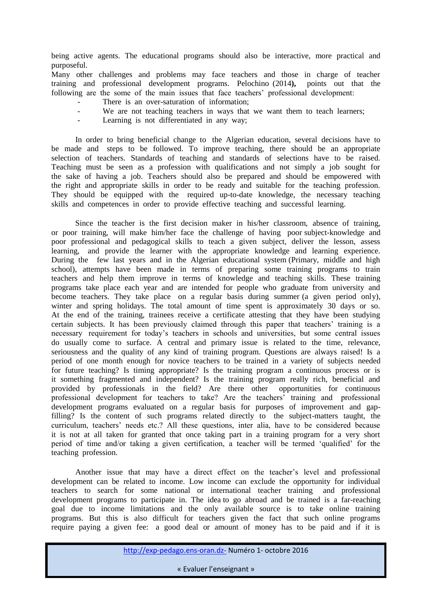being active agents. The educational programs should also be interactive, more practical and purposeful.

Many other challenges and problems may face teachers and those in charge of teacher training and professional development programs. Pelochino (2014**),** points out that the following are the some of the main issues that face teachers' professional development:

- There is an over-saturation of information:
- We are not teaching teachers in ways that we want them to teach learners;
- Learning is not differentiated in any way;

 In order to bring beneficial change to the Algerian education, several decisions have to be made and steps to be followed. To improve teaching, there should be an appropriate selection of teachers. Standards of teaching and standards of selections have to be raised. Teaching must be seen as a profession with qualifications and not simply a job sought for the sake of having a job. Teachers should also be prepared and should be empowered with the right and appropriate skills in order to be ready and suitable for the teaching profession. They should be equipped with the required up-to-date knowledge, the necessary teaching skills and competences in order to provide effective teaching and successful learning.

 Since the teacher is the first decision maker in his/her classroom, absence of training, or poor training, will make him/her face the challenge of having poor subject-knowledge and poor professional and pedagogical skills to teach a given subject, deliver the lesson, assess learning, and provide the learner with the appropriate knowledge and learning experience. During the few last years and in the Algerian educational system (Primary, middle and high school), attempts have been made in terms of preparing some training programs to train teachers and help them improve in terms of knowledge and teaching skills. These training programs take place each year and are intended for people who graduate from university and become teachers. They take place on a regular basis during summer (a given period only), winter and spring holidays. The total amount of time spent is approximately 30 days or so. At the end of the training, trainees receive a certificate attesting that they have been studying certain subjects. It has been previously claimed through this paper that teachers' training is a necessary requirement for today's teachers in schools and universities, but some central issues do usually come to surface. A central and primary issue is related to the time, relevance, seriousness and the quality of any kind of training program. Questions are always raised! Is a period of one month enough for novice teachers to be trained in a variety of subjects needed for future teaching? Is timing appropriate? Is the training program a continuous process or is it something fragmented and independent? Is the training program really rich, beneficial and provided by professionals in the field? Are there other opportunities for continuous professional development for teachers to take? Are the teachers' training and professional development programs evaluated on a regular basis for purposes of improvement and gapfilling? Is the content of such programs related directly to the subject-matters taught, the curriculum, teachers' needs etc.? All these questions, inter alia, have to be considered because it is not at all taken for granted that once taking part in a training program for a very short period of time and/or taking a given certification, a teacher will be termed 'qualified' for the teaching profession.

 Another issue that may have a direct effect on the teacher's level and professional development can be related to income. Low income can exclude the opportunity for individual teachers to search for some national or international teacher training and professional development programs to participate in. The idea to go abroad and be trained is a far-reaching goal due to income limitations and the only available source is to take online training programs. But this is also difficult for teachers given the fact that such online programs require paying a given fee: a good deal or amount of money has to be paid and if it is

http://exp-pedago.ens-oran.dz- Numéro 1- octobre 2016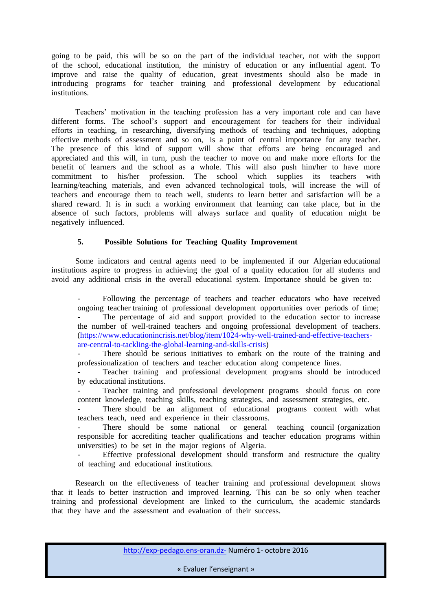going to be paid, this will be so on the part of the individual teacher, not with the support of the school, educational institution, the ministry of education or any influential agent. To improve and raise the quality of education, great investments should also be made in introducing programs for teacher training and professional development by educational institutions.

 Teachers' motivation in the teaching profession has a very important role and can have different forms. The school's support and encouragement for teachers for their individual efforts in teaching, in researching, diversifying methods of teaching and techniques, adopting effective methods of assessment and so on, is a point of central importance for any teacher. The presence of this kind of support will show that efforts are being encouraged and appreciated and this will, in turn, push the teacher to move on and make more efforts for the benefit of learners and the school as a whole. This will also push him/her to have more commitment to his/her profession. The school which supplies its teachers with learning/teaching materials, and even advanced technological tools, will increase the will of teachers and encourage them to teach well, students to learn better and satisfaction will be a shared reward. It is in such a working environment that learning can take place, but in the absence of such factors, problems will always surface and quality of education might be negatively influenced.

# **5. Possible Solutions for Teaching Quality Improvement**

 Some indicators and central agents need to be implemented if our Algerian educational institutions aspire to progress in achieving the goal of a quality education for all students and avoid any additional crisis in the overall educational system. Importance should be given to:

Following the percentage of teachers and teacher educators who have received ongoing teacher training of professional development opportunities over periods of time; The percentage of aid and support provided to the education sector to increase the number of well-trained teachers and ongoing professional development of teachers. [\(https://www.educationincrisis.net/blog/item/1024-why-well-trained-and-effective-teachers](https://www.educationincrisis.net/blog/item/1024-why-well-trained-and-effective-teachers-are-central-to-tackling-the-global-learning-and-skills-crisis)[are-central-to-tackling-the-global-learning-and-skills-crisis\)](https://www.educationincrisis.net/blog/item/1024-why-well-trained-and-effective-teachers-are-central-to-tackling-the-global-learning-and-skills-crisis)

There should be serious initiatives to embark on the route of the training and professionalization of teachers and teacher education along competence lines.

Teacher training and professional development programs should be introduced by educational institutions.

- Teacher training and professional development programs should focus on core content knowledge, teaching skills, teaching strategies, and assessment strategies, etc.

There should be an alignment of educational programs content with what teachers teach, need and experience in their classrooms.

There should be some national or general teaching council (organization responsible for accrediting teacher qualifications and teacher education programs within universities) to be set in the major regions of Algeria.

Effective professional development should transform and restructure the quality of teaching and educational institutions.

 Research on the effectiveness of teacher training and professional development shows that it leads to better instruction and improved learning. This can be so only when teacher training and professional development are linked to the curriculum, the academic standards that they have and the assessment and evaluation of their success.

http://exp-pedago.ens-oran.dz- Numéro 1- octobre 2016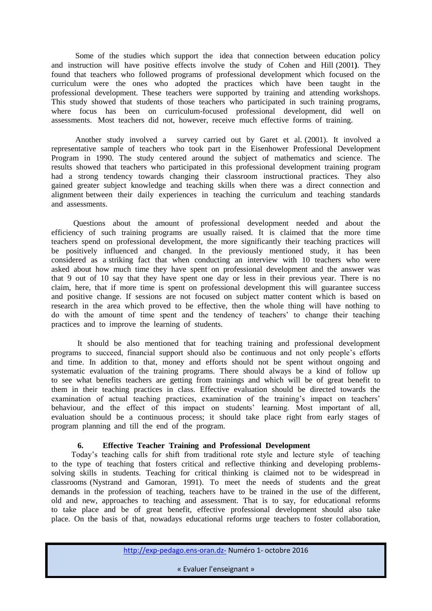Some of the studies which support the idea that connection between education policy and instruction will have positive effects involve the study ofCohen and Hill (2001**)**. They found that teachers who followed programs of professional development which focused on the curriculum were the ones who adopted the practices which have been taught in the professional development. These teachers were supported by training and attending workshops. This study showed that students of those teachers who participated in such training programs, where focus has been on curriculum-focused professional development, did well on assessments. Most teachers did not, however, receive much effective forms of training.

 Another study involved a survey carried out byGaret et al. (2001). It involved a representative sample of teachers who took part in the Eisenhower Professional Development Program in 1990. The study centered around the subject of mathematics and science. The results showed that teachers who participated in this professional development training program had a strong tendency towards changing their classroom instructional practices. They also gained greater subject knowledge and teaching skills when there was a direct connection and alignment between their daily experiences in teaching the curriculum and teaching standards and assessments.

 Questions about the amount of professional development needed and about the efficiency of such training programs are usually raised. It is claimed that the more time teachers spend on professional development, the more significantly their teaching practices will be positively influenced and changed. In the previously mentioned study, it has been considered as a striking fact that when conducting an interview with 10 teachers who were asked about how much time they have spent on professional development and the answer was that 9 out of 10 say that they have spent one day or less in their previous year. There is no claim, here, that if more time is spent on professional development this will guarantee success and positive change. If sessions are not focused on subject matter content which is based on research in the area which proved to be effective, then the whole thing will have nothing to do with the amount of time spent and the tendency of teachers' to change their teaching practices and to improve the learning of students.

 It should be also mentioned that for teaching training and professional development programs to succeed, financial support should also be continuous and not only people's efforts and time. In addition to that, money and efforts should not be spent without ongoing and systematic evaluation of the training programs. There should always be a kind of follow up to see what benefits teachers are getting from trainings and which will be of great benefit to them in their teaching practices in class. Effective evaluation should be directed towards the examination of actual teaching practices, examination of the training's impact on teachers' behaviour, and the effect of this impact on students' learning. Most important of all, evaluation should be a continuous process; it should take place right from early stages of program planning and till the end of the program.

## **6. Effective Teacher Training and Professional Development**

 Today's teaching calls for shift from traditional rote style and lecture style of teaching to the type of teaching that fosters critical and reflective thinking and developing problemssolving skills in students. Teaching for critical thinking is claimed not to be widespread in classrooms (Nystrand and Gamoran, 1991).To meet the needs of students and the great demands in the profession of teaching, teachers have to be trained in the use of the different, old and new, approaches to teaching and assessment. That is to say, for educational reforms to take place and be of great benefit, effective professional development should also take place. On the basis of that, nowadays educational reforms urge teachers to foster collaboration,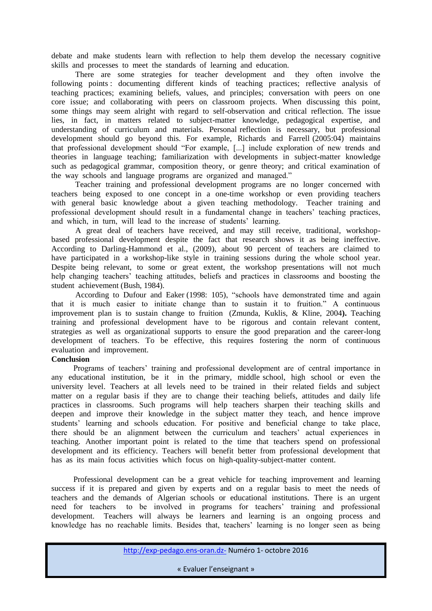debate and make students learn with reflection to help them develop the necessary cognitive skills and processes to meet the standards of learning and education.

 There are some strategies for teacher development and they often involve the following points : documenting different kinds of teaching practices; reflective analysis of teaching practices; examining beliefs, values, and principles; conversation with peers on one core issue; and collaborating with peers on classroom projects. When discussing this point, some things may seem alright with regard to self-observation and critical reflection. The issue lies, in fact, in matters related to subject-matter knowledge, pedagogical expertise, and understanding of curriculum and materials. Personal reflection is necessary, but professional development should go beyond this. For example, Richards and Farrell (2005:04) maintains that professional development should "For example, [...] include exploration of new trends and theories in language teaching; familiarization with developments in subject-matter knowledge such as pedagogical grammar, composition theory, or genre theory; and critical examination of the way schools and language programs are organized and managed."

 Teacher training and professional development programs are no longer concerned with teachers being exposed to one concept in a one-time workshop or even providing teachers with general basic knowledge about a given teaching methodology. Teacher training and professional development should result in a fundamental change in teachers' teaching practices, and which, in turn, will lead to the increase of students' learning.

 A great deal of teachers have received, and may still receive, traditional, workshopbased professional development despite the fact that research shows it as being ineffective. According to Darling-Hammond et al., (2009), about 90 percent of teachers are claimed to have participated in a workshop-like style in training sessions during the whole school year. Despite being relevant, to some or great extent, the workshop presentations will not much help changing teachers' teaching attitudes, beliefs and practices in classrooms and boosting the student achievement (Bush, 1984).

 According to Dufour and Eaker (1998: 105), "schools have demonstrated time and again that it is much easier to initiate change than to sustain it to fruition." A continuous improvement plan is to sustain change to fruition (Zmunda, Kuklis, & Kline, 2004**).** Teaching training and professional development have to be rigorous and contain relevant content, strategies as well as organizational supports to ensure the good preparation and the career-long development of teachers. To be effective, this requires fostering the norm of continuous evaluation and improvement.

## **Conclusion**

 Programs of teachers' training and professional development are of central importance in any educational institution, be it in the primary, middle school, high school or even the university level. Teachers at all levels need to be trained in their related fields and subject matter on a regular basis if they are to change their teaching beliefs, attitudes and daily life practices in classrooms. Such programs will help teachers sharpen their teaching skills and deepen and improve their knowledge in the subject matter they teach, and hence improve students' learning and schools education. For positive and beneficial change to take place, there should be an alignment between the curriculum and teachers' actual experiences in teaching. Another important point is related to the time that teachers spend on professional development and its efficiency. Teachers will benefit better from professional development that has as its main focus activities which focus on high-quality-subject-matter content.

 Professional development can be a great vehicle for teaching improvement and learning success if it is prepared and given by experts and on a regular basis to meet the needs of teachers and the demands of Algerian schools or educational institutions. There is an urgent need for teachers to be involved in programs for teachers' training and professional development. Teachers will always be learners and learning is an ongoing process and knowledge has no reachable limits. Besides that, teachers' learning is no longer seen as being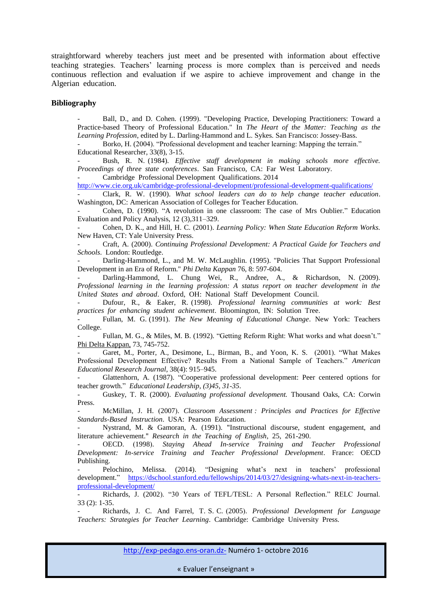straightforward whereby teachers just meet and be presented with information about effective teaching strategies. Teachers' learning process is more complex than is perceived and needs continuous reflection and evaluation if we aspire to achieve improvement and change in the Algerian education.

#### **Bibliography**

Ball, D., and D. Cohen. (1999). "Developing Practice, Developing Practitioners: Toward a Practice-based Theory of Professional Education." In *The Heart of the Matter: Teaching as the Learning Profession*, edited by L. Darling-Hammond and L. Sykes. San Francisco: Jossey-Bass.

Borko, H. (2004). "Professional development and teacher learning: Mapping the terrain." Educational Researcher, 33(8), 3-15.

Bush, R. N. (1984). *Effective staff development in making schools more effective*. *Proceedings of three state conferences*. San Francisco, CA: Far West Laboratory.

Cambridge Professional Development Qualifications. 2014

<http://www.cie.org.uk/cambridge-professional-development/professional-development-qualifications/>

- Clark, R. W. (1990). *What school leaders can do to help change teacher education*. Washington, DC: American Association of Colleges for Teacher Education.

- Cohen, D. (1990). "A revolution in one classroom: The case of Mrs Oublier." Education Evaluation and Policy Analysis, 12 (3),311–329.

Cohen, D. K., and Hill, H. C. (2001). *Learning Policy: When State Education Reform Works.* New Haven, CT: Yale University Press.

- Craft, A. (2000). *Continuing Professional Development: A Practical Guide for Teachers and Schools*. London: Routledge.

Darling-Hammond, L., and M. W. McLaughlin. (1995). "Policies That Support Professional Development in an Era of Reform." *Phi Delta Kappan* 76, 8: 597-604.

Darling-Hammond, L. Chung Wei, R., Andree, A., & Richardson, N. (2009). *Professional learning in the learning profession: A status report on teacher development in the United States and abroad*. Oxford, OH: National Staff Development Council.

- Dufour, R., & Eaker, R. (1998). *Professional learning communities at work: Best practices for enhancing student achievement*. Bloomington, IN: Solution Tree.

- Fullan, M. G. (1991). *The New Meaning of Educational Change*. New York: Teachers College.

Fullan, M. G., & Miles, M. B. (1992). "Getting Reform Right: What works and what doesn't." Phi Delta Kappan, 73, 745-752.

Garet, M., Porter, A., Desimone, L., Birman, B., and Yoon, K. S. (2001). "What Makes Professional Development Effective? Results From a National Sample of Teachers." *American Educational Research Journal*, 38(4): 915–945.

- Glattenhorn, A. (1987). "Cooperative professional development: Peer centered options for teacher growth." *Educational Leadership*, *(3)45, 31-35*.

- Guskey, T. R. (2000). *Evaluating professional development.* Thousand Oaks, CA: Corwin Press.

McMillan, J. H. (2007). *Classroom Assessment : Principles and Practices for Effective Standards-Based Instruction*. USA: Pearson Education.

- Nystrand, M. & Gamoran, A. (1991). "Instructional discourse, student engagement, and literature achievement." *Research in the Teaching of English*, 25, 261-290.

OECD. (1998). Staying Ahead In-service Training and Teacher Professional *Development: In-service Training and Teacher Professional Development*. France: OECD Publishing.

Pelochino, Melissa. (2014). "Designing what's next in teachers' professional development." [https://dschool.stanford.edu/fellowships/2014/03/27/designing-whats-next-in-teachers](https://dschool.stanford.edu/fellowships/2014/03/27/designing-whats-next-in-teachers-professional-development/)[professional-development/](https://dschool.stanford.edu/fellowships/2014/03/27/designing-whats-next-in-teachers-professional-development/)

Richards, J. (2002). "30 Years of TEFL/TESL: A Personal Reflection." RELC Journal. 33 (2): 1-35.

- Richards, J. C. And Farrel, T. S. C. )2005(. *Professional Development for Language Teachers: Strategies for Teacher Learning*. Cambridge: Cambridge University Press.

http://exp-pedago.ens-oran.dz- Numéro 1- octobre 2016